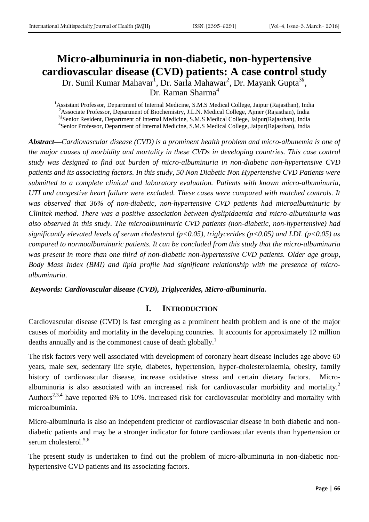# **Micro-albuminuria in non-diabetic, non-hypertensive cardiovascular disease (CVD) patients: A case control study**

Dr. Sunil Kumar Mahavar<sup>1</sup>, Dr. Sarla Mahawar<sup>2</sup>, Dr. Mayank Gupta<sup>3§</sup>, Dr. Raman Sharma<sup>4</sup>

<sup>1</sup> Assistant Professor, Department of Internal Medicine, S.M.S Medical College, Jaipur (Rajasthan), India <sup>2</sup> Associate Professor, Department of Biochemistry, J.L.N. Medical College, Ajmer (Rajasthan), India <sup>3§</sup>Senior Resident, Department of Internal Medicine, S.M.S Medical College, Jaipur(Rajasthan), India 4 Senior Professor, Department of Internal Medicine, S.M.S Medical College, Jaipur(Rajasthan), India

*Abstract—Cardiovascular disease (CVD) is a prominent health problem and micro-albunemia is one of the major causes of morbidity and mortality in these CVDs in developing countries. This case control study was designed to find out burden of micro-albuminuria in non-diabetic non-hypertensive CVD patients and its associating factors. In this study, 50 Non Diabetic Non Hypertensive CVD Patients were submitted to a complete clinical and laboratory evaluation. Patients with known micro-albuminuria, UTI and congestive heart failure were excluded. These cases were compared with matched controls. It was observed that 36% of non-diabetic, non-hypertensive CVD patients had microalbuminuric by Clinitek method. There was a positive association between dyslipidaemia and micro-albuminuria was also observed in this study. The microalbuminuric CVD patients (non-diabetic, non-hypertensive) had significantly elevated levels of serum cholesterol (p<0.05), triglycerides (p<0.05) and LDL (p<0.05) as compared to normoalbuminuric patients. It can be concluded from this study that the micro-albuminuria was present in more than one third of non-diabetic non-hypertensive CVD patients. Older age group, Body Mass Index (BMI) and lipid profile had significant relationship with the presence of microalbuminuria*.

*Keywords: Cardiovascular disease (CVD), Triglycerides, Micro-albuminuria.*

### **I. INTRODUCTION**

Cardiovascular disease (CVD) is fast emerging as a prominent health problem and is one of the major causes of morbidity and mortality in the developing countries. It accounts for approximately 12 million deaths annually and is the commonest cause of death globally.<sup>1</sup>

The risk factors very well associated with development of coronary heart disease includes age above 60 years, male sex, sedentary life style, diabetes, hypertension, hyper-cholesterolaemia, obesity, family history of cardiovascular disease, increase oxidative stress and certain dietary factors. Microalbuminuria is also associated with an increased risk for cardiovascular morbidity and mortality.<sup>2</sup> Authors<sup>2,3,4</sup> have reported 6% to 10%. increased risk for cardiovascular morbidity and mortality with microalbuminia.

Micro-albuminuria is also an independent predictor of cardiovascular disease in both diabetic and nondiabetic patients and may be a stronger indicator for future cardiovascular events than hypertension or serum cholesterol.<sup>5,6</sup>

The present study is undertaken to find out the problem of micro-albuminuria in non-diabetic nonhypertensive CVD patients and its associating factors.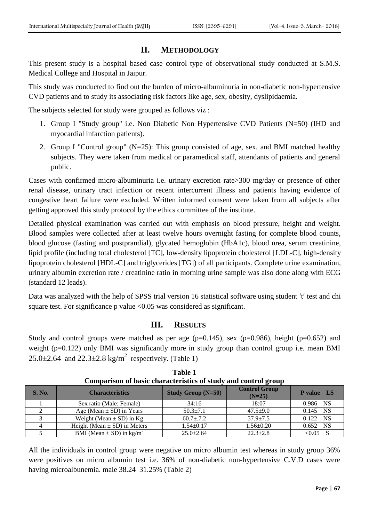### **II. METHODOLOGY**

This present study is a hospital based case control type of observational study conducted at S.M.S. Medical College and Hospital in Jaipur.

This study was conducted to find out the burden of micro-albuminuria in non-diabetic non-hypertensive CVD patients and to study its associating risk factors like age, sex, obesity, dyslipidaemia.

The subjects selected for study were grouped as follows viz :

- 1. Group I "Study group'' i.e. Non Diabetic Non Hypertensive CVD Patients (N=50) (IHD and myocardial infarction patients).
- 2. Group I "Control group" (N=25): This group consisted of age, sex, and BMI matched healthy subjects. They were taken from medical or paramedical staff, attendants of patients and general public.

Cases with confirmed micro-albuminuria i.e. urinary excretion rate>300 mg/day or presence of other renal disease, urinary tract infection or recent intercurrent illness and patients having evidence of congestive heart failure were excluded. Written informed consent were taken from all subjects after getting approved this study protocol by the ethics committee of the institute.

Detailed physical examination was carried out with emphasis on blood pressure, height and weight. Blood samples were collected after at least twelve hours overnight fasting for complete blood counts, blood glucose (fasting and postprandial), glycated hemoglobin (HbA1c), blood urea, serum creatinine, lipid profile (including total cholesterol [TC], low-density lipoprotein cholesterol [LDL-C], high-density lipoprotein cholesterol [HDL-C] and triglycerides [TG]) of all participants. Complete urine examination, urinary albumin excretion rate / creatinine ratio in morning urine sample was also done along with ECG (standard 12 leads).

Data was analyzed with the help of SPSS trial version 16 statistical software using student 't' test and chi square test. For significance p value <0.05 was considered as significant.

## **III. RESULTS**

Study and control groups were matched as per age ( $p=0.145$ ), sex ( $p=0.986$ ), height ( $p=0.652$ ) and weight (p=0.122) only BMI was significantly more in study group than control group i.e. mean BMI  $25.0 \pm 2.64$  and  $22.3 \pm 2.8$  kg/m<sup>2</sup> respectively. (Table 1)

| <b>S. No.</b> | <b>Characteristics</b>                   | <b>Study Group (N=50)</b> | <b>Control Group</b><br>$(N=25)$ | <b>P</b> value LS |
|---------------|------------------------------------------|---------------------------|----------------------------------|-------------------|
|               | Sex ratio (Male: Female)                 | 34:16                     | 18:07                            | 0.986 NS          |
|               | Age (Mean $\pm$ SD) in Years             | $50.3 \pm 7.1$            | $47.5 \pm 9.0$                   | $0.145$ NS        |
|               | Weight (Mean $\pm$ SD) in Kg             | $60.7 \pm .7.2$           | $57.9 \pm 7.5$                   | 0.122 NS          |
|               | Height (Mean $\pm$ SD) in Meters         | $1.54 \pm 0.17$           | $1.56 \pm 0.20$                  | $0.652$ NS        |
|               | BMI (Mean $\pm$ SD) in kg/m <sup>2</sup> | $25.0 \pm 2.64$           | $22.3 \pm 2.8$                   | $< 0.05$ S        |

**Table 1 Comparison of basic characteristics of study and control group**

All the individuals in control group were negative on micro albumin test whereas in study group 36% were positives on micro albumin test i.e. 36% of non-diabetic non-hypertensive C.V.D cases were having microalbunemia. male 38.24 31.25% (Table 2)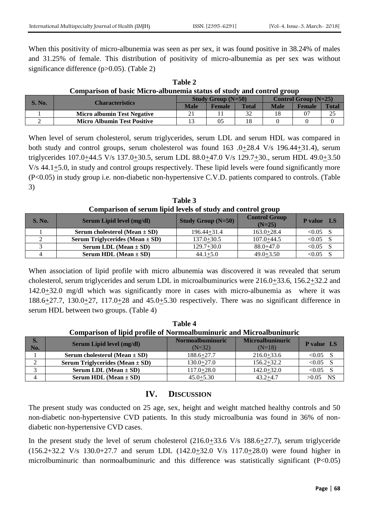When this positivity of micro-albunemia was seen as per sex, it was found positive in 38.24% of males and 31.25% of female. This distribution of positivity of micro-albunemia as per sex was without significance difference (p>0.05). (Table 2)

| Comparison or basic micro anouncima status or stau v and control group |                                    |                                        |               |              |                        |               |       |  |
|------------------------------------------------------------------------|------------------------------------|----------------------------------------|---------------|--------------|------------------------|---------------|-------|--|
| <b>S. No.</b>                                                          | <b>Characteristics</b>             | <b>Study Group <math>(N=50)</math></b> |               |              | Control Group $(N=25)$ |               |       |  |
|                                                                        |                                    | Male                                   | <b>Female</b> | <b>Total</b> | <b>Male</b>            | <b>Female</b> | Total |  |
|                                                                        | <b>Micro albumin Test Negative</b> | 21                                     |               |              |                        |               | 25    |  |
|                                                                        | <b>Micro Albumin Test Positive</b> |                                        | 05            |              |                        |               |       |  |

**Table 2 Comparison of basic Micro-albunemia status of study and control group**

When level of serum cholesterol, serum triglycerides, serum LDL and serum HDL was compared in both study and control groups, serum cholesterol was found 163 .0+28.4 V/s 196.44+31.4), serum triglycerides 107.0 $\pm$ 44.5 V/s 137.0 $\pm$ 30.5, serum LDL 88.0 $\pm$ 47.0 V/s 129.7 $\pm$ 30., serum HDL 49.0 $\pm$ 3.50  $V/s$  44.1 $\pm$ 5.0, in study and control groups respectively. These lipid levels were found significantly more (P<0.05) in study group i.e. non-diabetic non-hypertensive C.V.D. patients compared to controls. (Table 3)

**Table 3 Comparison of serum lipid levels of study and control group**

| <b>S. No.</b> | <b>Serum Lipid level (mg/dl)</b>                      | <b>Study Group <math>(N=50)</math></b> | <b>Control Group</b><br>$(N=25)$ | <b>P</b> value<br><b>LS</b> |
|---------------|-------------------------------------------------------|----------------------------------------|----------------------------------|-----------------------------|
|               | Serum cholesterol (Mean $\pm$ SD)                     | $196.44 + 31.4$                        | $163.0 + 28.4$                   | $< 0.05$ S                  |
|               | <b>Serum Triglycerides (Mean <math>\pm</math> SD)</b> | $137.0 + 30.5$                         | $107.0 + 44.5$                   | < 0.05                      |
|               | Serum LDL (Mean $\pm$ SD)                             | $129.7+30.0$                           | $88.0 + 47.0$                    | < 0.05                      |
|               | Serum HDL (Mean $\pm$ SD)                             | $44.1 + 5.0$                           | $49.0 + 3.50$                    | < 0.05                      |

When association of lipid profile with micro albunemia was discovered it was revealed that serum cholesterol, serum triglycerides and serum LDL in microalbuminurics were  $216.0+33.6$ ,  $156.2+32.2$  and  $142.0+32.0$  mg/dl which was significantly more in cases with micro-albunemia as where it was  $188.6\pm27.7$ ,  $130.0\pm27$ ,  $117.0\pm28$  and  $45.0\pm5.30$  respectively. There was no significant difference in serum HDL between two groups. (Table 4)

| таше 4                                                                      |                                                       |                                     |                                     |                   |  |  |  |
|-----------------------------------------------------------------------------|-------------------------------------------------------|-------------------------------------|-------------------------------------|-------------------|--|--|--|
| <b>Comparison of lipid profile of Normoalbuminuric and Microalbuninuric</b> |                                                       |                                     |                                     |                   |  |  |  |
| S.<br>No.                                                                   | Serum Lipid level (mg/dl)                             | <b>Normoalbuminuric</b><br>$(N=32)$ | <b>Microalbuninuric</b><br>$(N=18)$ | <b>P</b> value LS |  |  |  |
|                                                                             | Serum cholesterol (Mean $\pm$ SD)                     | $188.6 + 27.7$                      | $216.0 + 33.6$                      | $< 0.05$ S        |  |  |  |
|                                                                             | <b>Serum Triglycerides (Mean <math>\pm</math> SD)</b> | $130.0 + 27.0$                      | $156.2 + 32.2$                      | $< 0.05$ S        |  |  |  |
|                                                                             | Serum LDL (Mean $\pm$ SD)                             | $117.0 + 28.0$                      | $142.0 + 32.0$                      | $< 0.05$ S        |  |  |  |
|                                                                             | <b>Serum HDL</b> (Mean $\pm$ SD)                      | $45.0 + 5.30$                       | $43.2 + 4.7$                        | NS<br>>0.05       |  |  |  |

# **Table 4**

### **IV. DISCUSSION**

The present study was conducted on 25 age, sex, height and weight matched healthy controls and 50 non-diabetic non-hypertensive CVD patients. In this study microalbunia was found in 36% of nondiabetic non-hypertensive CVD cases.

In the present study the level of serum cholesterol (216.0+33.6 V/s 188.6+27.7), serum triglyceride  $(156.2+32.2 \text{ V/s } 130.0+27.7 \text{ and serum LDL } (142.0+32.0 \text{ V/s } 117.0+28.0) \text{ were found higher in}$ microlbuminuric than normoalbuminuric and this difference was statistically significant (P<0.05)